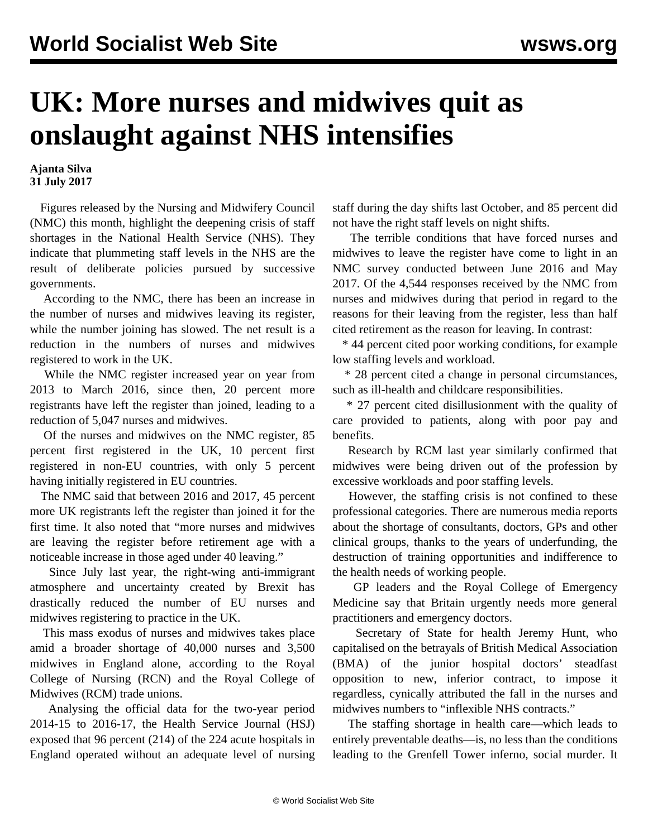## **UK: More nurses and midwives quit as onslaught against NHS intensifies**

**Ajanta Silva 31 July 2017**

 Figures released by the Nursing and Midwifery Council (NMC) this month, highlight the deepening crisis of staff shortages in the National Health Service (NHS). They indicate that plummeting staff levels in the NHS are the result of deliberate policies pursued by successive governments.

 According to the NMC, there has been an increase in the number of nurses and midwives leaving its register, while the number joining has slowed. The net result is a reduction in the numbers of nurses and midwives registered to work in the UK.

 While the NMC register increased year on year from 2013 to March 2016, since then, 20 percent more registrants have left the register than joined, leading to a reduction of 5,047 nurses and midwives.

 Of the nurses and midwives on the NMC register, 85 percent first registered in the UK, 10 percent first registered in non-EU countries, with only 5 percent having initially registered in EU countries.

 The NMC said that between 2016 and 2017, 45 percent more UK registrants left the register than joined it for the first time. It also noted that "more nurses and midwives are leaving the register before retirement age with a noticeable increase in those aged under 40 leaving."

 Since July last year, the right-wing anti-immigrant atmosphere and uncertainty created by Brexit has drastically reduced the number of EU nurses and midwives registering to practice in the UK.

 This mass exodus of nurses and midwives takes place amid a broader shortage of 40,000 nurses and 3,500 midwives in England alone, according to the Royal College of Nursing (RCN) and the Royal College of Midwives (RCM) trade unions.

 Analysing the official data for the two-year period 2014-15 to 2016-17, the Health Service Journal (HSJ) exposed that 96 percent (214) of the 224 acute hospitals in England operated without an adequate level of nursing

staff during the day shifts last October, and 85 percent did not have the right staff levels on night shifts.

 The terrible conditions that have forced nurses and midwives to leave the register have come to light in an NMC survey conducted between June 2016 and May 2017. Of the 4,544 responses received by the NMC from nurses and midwives during that period in regard to the reasons for their leaving from the register, less than half cited retirement as the reason for leaving. In contrast:

 \* 44 percent cited poor working conditions, for example low staffing levels and workload.

 \* 28 percent cited a change in personal circumstances, such as ill-health and childcare responsibilities.

 \* 27 percent cited disillusionment with the quality of care provided to patients, along with poor pay and benefits.

 Research by RCM last year similarly confirmed that midwives were being driven out of the profession by excessive workloads and poor staffing levels.

 However, the staffing crisis is not confined to these professional categories. There are numerous media reports about the shortage of consultants, doctors, GPs and other clinical groups, thanks to the years of underfunding, the destruction of training opportunities and indifference to the health needs of working people.

 GP leaders and the Royal College of Emergency Medicine say that Britain urgently needs more general practitioners and emergency doctors.

 Secretary of State for health Jeremy Hunt, who capitalised on the betrayals of British Medical Association (BMA) of the junior hospital doctors' steadfast opposition to new, inferior contract, to impose it regardless, cynically attributed the fall in the nurses and midwives numbers to "inflexible NHS contracts."

 The staffing shortage in health care—which leads to entirely preventable deaths—is, no less than the conditions leading to the Grenfell Tower inferno, social murder. It